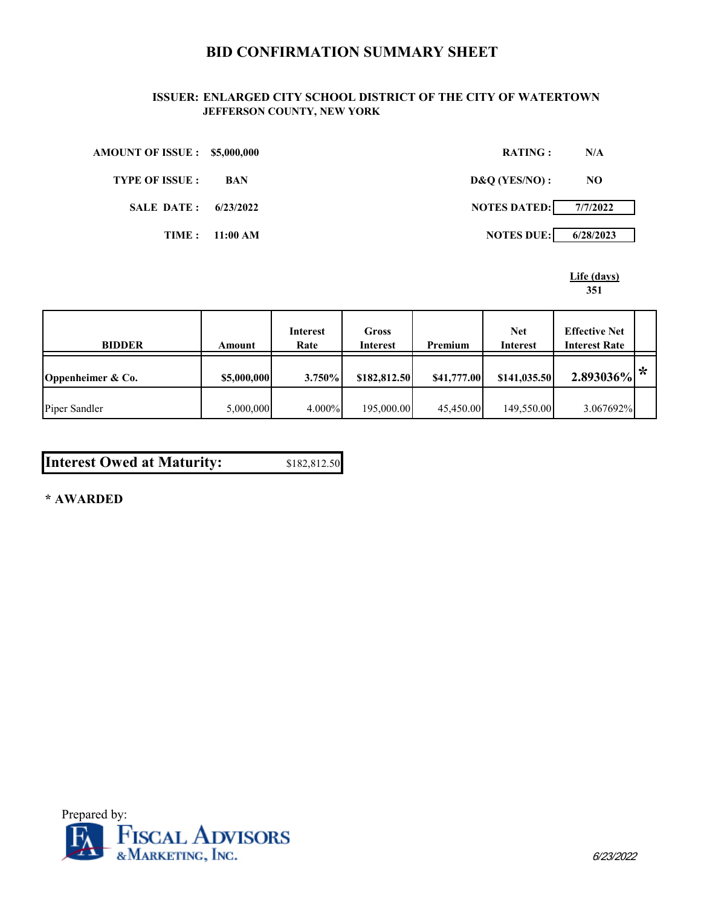# **BID CONFIRMATION SUMMARY SHEET**

### **ISSUER: ENLARGED CITY SCHOOL DISTRICT OF THE CITY OF WATERTOWN JEFFERSON COUNTY, NEW YORK**

| <b>AMOUNT OF ISSUE : \$5,000,000</b> |                | <b>RATING:</b>      | N/A       |
|--------------------------------------|----------------|---------------------|-----------|
| <b>TYPE OF ISSUE :</b>               | BAN            | D&Q(YES/NO):        | NO.       |
| <b>SALE DATE: 6/23/2022</b>          |                | <b>NOTES DATED:</b> | 7/7/2022  |
|                                      | TIME: 11:00 AM | <b>NOTES DUE:</b>   | 6/28/2023 |

**Life (days) 351**

| <b>BIDDER</b>     | Amount      | <b>Interest</b><br>Rate | Gross<br><b>Interest</b> | Premium     | <b>Net</b><br><b>Interest</b> | <b>Effective Net</b><br><b>Interest Rate</b> |   |
|-------------------|-------------|-------------------------|--------------------------|-------------|-------------------------------|----------------------------------------------|---|
| Oppenheimer & Co. | \$5,000,000 | $3.750\%$               | \$182,812.50             | \$41,777.00 | \$141,035.50                  | 2.893036%                                    | ∗ |
| Piper Sandler     | 5,000,000   | 4.000%                  | 195,000.00               | 45,450.00   | 149,550.00                    | 3.067692%                                    |   |

| <b>Interest Owed at Maturity:</b> | \$182,812.50 |
|-----------------------------------|--------------|
|-----------------------------------|--------------|

**\* AWARDED**